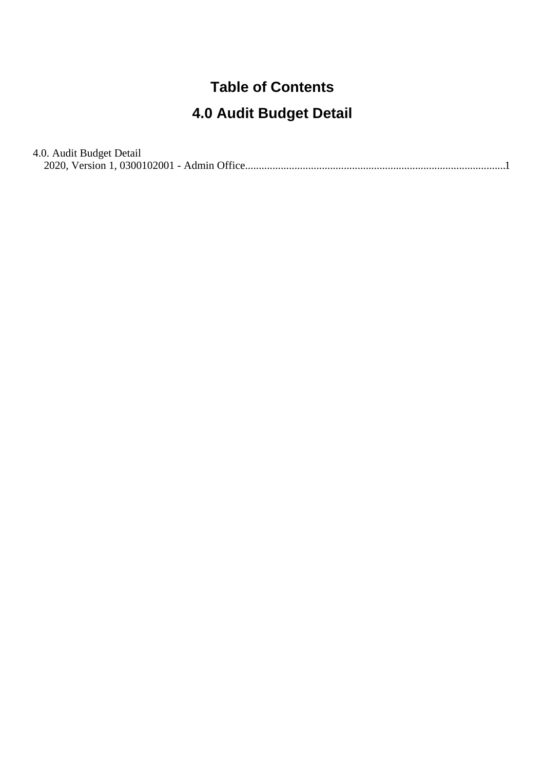#### **Table of Contents**

#### **4.0 Audit Budget Detail**

4.0. Audit Budget Detail [2020, Version 1, 0300102001 - Admin Office..............................................................................................](#page-1-0).1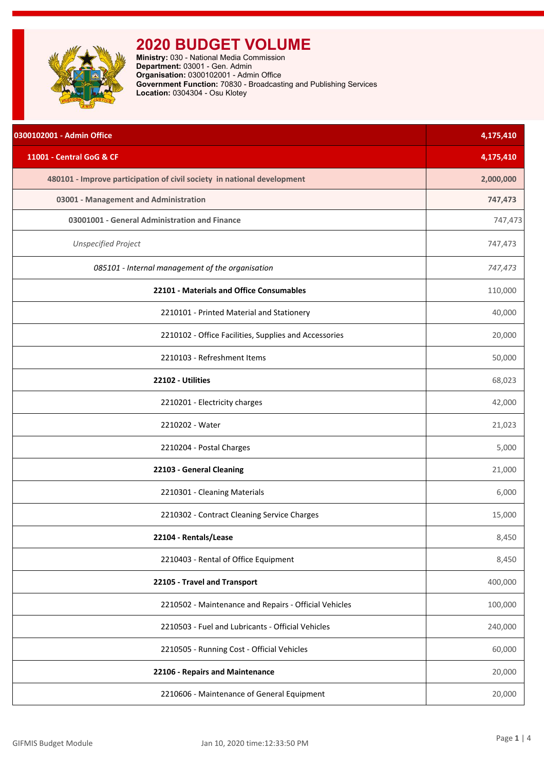<span id="page-1-0"></span>

| 0300102001 - Admin Office                                               | 4,175,410 |
|-------------------------------------------------------------------------|-----------|
| 11001 - Central GoG & CF                                                | 4,175,410 |
| 480101 - Improve participation of civil society in national development | 2,000,000 |
| 03001 - Management and Administration                                   | 747,473   |
| 03001001 - General Administration and Finance                           | 747,473   |
| <b>Unspecified Project</b>                                              | 747,473   |
| 085101 - Internal management of the organisation                        | 747,473   |
| 22101 - Materials and Office Consumables                                | 110,000   |
| 2210101 - Printed Material and Stationery                               | 40,000    |
| 2210102 - Office Facilities, Supplies and Accessories                   | 20,000    |
| 2210103 - Refreshment Items                                             | 50,000    |
| 22102 - Utilities                                                       | 68,023    |
| 2210201 - Electricity charges                                           | 42,000    |
| 2210202 - Water                                                         | 21,023    |
| 2210204 - Postal Charges                                                | 5,000     |
| 22103 - General Cleaning                                                | 21,000    |
| 2210301 - Cleaning Materials                                            | 6,000     |
| 2210302 - Contract Cleaning Service Charges                             | 15,000    |
| 22104 - Rentals/Lease                                                   | 8,450     |
| 2210403 - Rental of Office Equipment                                    | 8,450     |
| 22105 - Travel and Transport                                            | 400,000   |
| 2210502 - Maintenance and Repairs - Official Vehicles                   | 100,000   |
| 2210503 - Fuel and Lubricants - Official Vehicles                       | 240,000   |
| 2210505 - Running Cost - Official Vehicles                              | 60,000    |
| 22106 - Repairs and Maintenance                                         | 20,000    |
| 2210606 - Maintenance of General Equipment                              | 20,000    |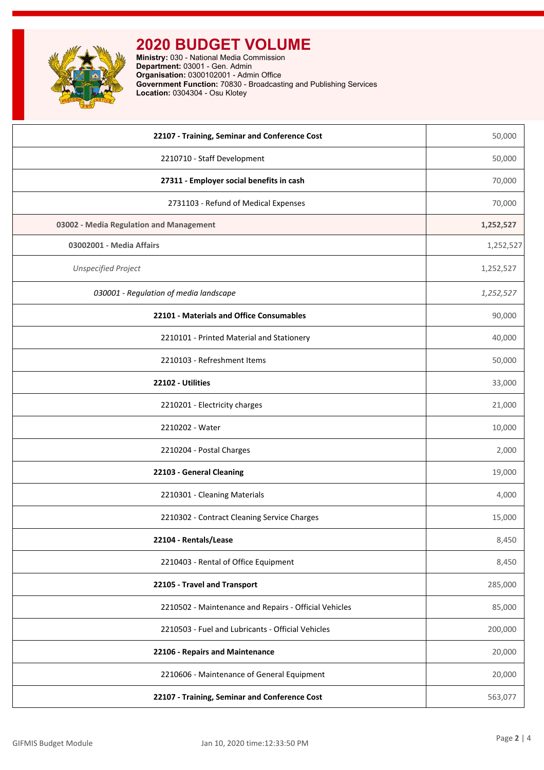

| 22107 - Training, Seminar and Conference Cost         | 50,000    |
|-------------------------------------------------------|-----------|
| 2210710 - Staff Development                           | 50,000    |
| 27311 - Employer social benefits in cash              | 70,000    |
| 2731103 - Refund of Medical Expenses                  | 70,000    |
| 03002 - Media Regulation and Management               | 1,252,527 |
| 03002001 - Media Affairs                              | 1,252,527 |
| <b>Unspecified Project</b>                            | 1,252,527 |
| 030001 - Regulation of media landscape                | 1,252,527 |
| 22101 - Materials and Office Consumables              | 90,000    |
| 2210101 - Printed Material and Stationery             | 40,000    |
| 2210103 - Refreshment Items                           | 50,000    |
| 22102 - Utilities                                     | 33,000    |
| 2210201 - Electricity charges                         | 21,000    |
| 2210202 - Water                                       | 10,000    |
| 2210204 - Postal Charges                              | 2,000     |
| 22103 - General Cleaning                              | 19,000    |
| 2210301 - Cleaning Materials                          | 4,000     |
| 2210302 - Contract Cleaning Service Charges           | 15,000    |
| 22104 - Rentals/Lease                                 | 8,450     |
| 2210403 - Rental of Office Equipment                  | 8,450     |
| 22105 - Travel and Transport                          | 285,000   |
| 2210502 - Maintenance and Repairs - Official Vehicles | 85,000    |
| 2210503 - Fuel and Lubricants - Official Vehicles     | 200,000   |
| 22106 - Repairs and Maintenance                       | 20,000    |
| 2210606 - Maintenance of General Equipment            | 20,000    |
| 22107 - Training, Seminar and Conference Cost         | 563,077   |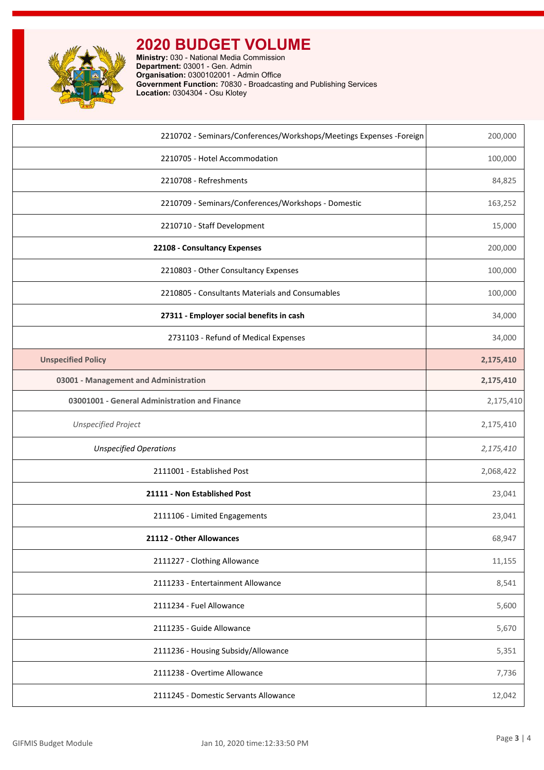

| 2210702 - Seminars/Conferences/Workshops/Meetings Expenses - Foreign | 200,000   |
|----------------------------------------------------------------------|-----------|
| 2210705 - Hotel Accommodation                                        | 100,000   |
| 2210708 - Refreshments                                               | 84,825    |
| 2210709 - Seminars/Conferences/Workshops - Domestic                  | 163,252   |
| 2210710 - Staff Development                                          | 15,000    |
| 22108 - Consultancy Expenses                                         | 200,000   |
| 2210803 - Other Consultancy Expenses                                 | 100,000   |
| 2210805 - Consultants Materials and Consumables                      | 100,000   |
| 27311 - Employer social benefits in cash                             | 34,000    |
| 2731103 - Refund of Medical Expenses                                 | 34,000    |
| <b>Unspecified Policy</b>                                            | 2,175,410 |
| 03001 - Management and Administration                                | 2,175,410 |
| 03001001 - General Administration and Finance                        | 2,175,410 |
| <b>Unspecified Project</b>                                           | 2,175,410 |
| <b>Unspecified Operations</b>                                        | 2,175,410 |
| 2111001 - Established Post                                           | 2,068,422 |
| 21111 - Non Established Post                                         | 23,041    |
| 2111106 - Limited Engagements                                        | 23,041    |
| 21112 - Other Allowances                                             | 68,947    |
| 2111227 - Clothing Allowance                                         | 11,155    |
| 2111233 - Entertainment Allowance                                    | 8,541     |
| 2111234 - Fuel Allowance                                             | 5,600     |
| 2111235 - Guide Allowance                                            | 5,670     |
| 2111236 - Housing Subsidy/Allowance                                  | 5,351     |
| 2111238 - Overtime Allowance                                         | 7,736     |
| 2111245 - Domestic Servants Allowance                                | 12,042    |